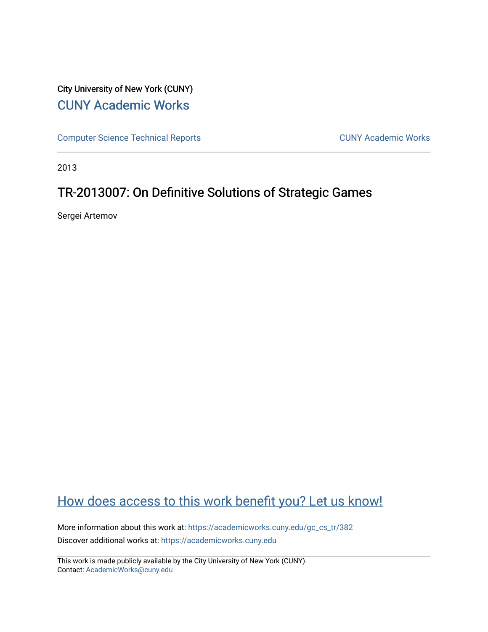# City University of New York (CUNY) [CUNY Academic Works](https://academicworks.cuny.edu/)

[Computer Science Technical Reports](https://academicworks.cuny.edu/gc_cs_tr) **CUNY Academic Works** CUNY Academic Works

2013

# TR-2013007: On Definitive Solutions of Strategic Games

Sergei Artemov

# [How does access to this work benefit you? Let us know!](http://ols.cuny.edu/academicworks/?ref=https://academicworks.cuny.edu/gc_cs_tr/382)

More information about this work at: [https://academicworks.cuny.edu/gc\\_cs\\_tr/382](https://academicworks.cuny.edu/gc_cs_tr/382)  Discover additional works at: [https://academicworks.cuny.edu](https://academicworks.cuny.edu/?)

This work is made publicly available by the City University of New York (CUNY). Contact: [AcademicWorks@cuny.edu](mailto:AcademicWorks@cuny.edu)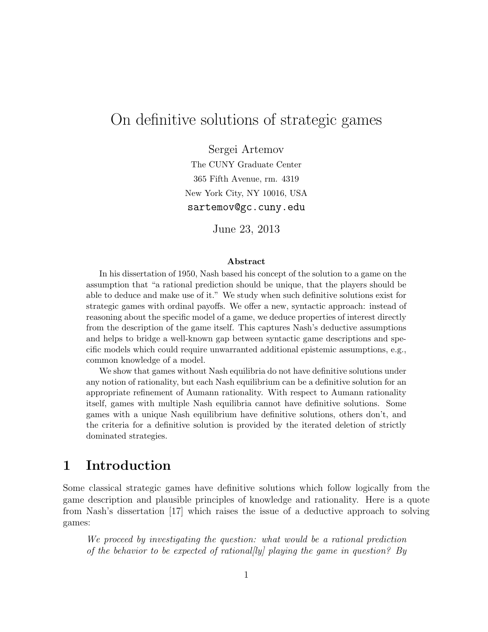# On definitive solutions of strategic games

Sergei Artemov

The CUNY Graduate Center 365 Fifth Avenue, rm. 4319 New York City, NY 10016, USA sartemov@gc.cuny.edu

June 23, 2013

#### Abstract

In his dissertation of 1950, Nash based his concept of the solution to a game on the assumption that "a rational prediction should be unique, that the players should be able to deduce and make use of it." We study when such definitive solutions exist for strategic games with ordinal payoffs. We offer a new, syntactic approach: instead of reasoning about the specific model of a game, we deduce properties of interest directly from the description of the game itself. This captures Nash's deductive assumptions and helps to bridge a well-known gap between syntactic game descriptions and specific models which could require unwarranted additional epistemic assumptions, e.g., common knowledge of a model.

We show that games without Nash equilibria do not have definitive solutions under any notion of rationality, but each Nash equilibrium can be a definitive solution for an appropriate refinement of Aumann rationality. With respect to Aumann rationality itself, games with multiple Nash equilibria cannot have definitive solutions. Some games with a unique Nash equilibrium have definitive solutions, others don't, and the criteria for a definitive solution is provided by the iterated deletion of strictly dominated strategies.

## 1 Introduction

Some classical strategic games have definitive solutions which follow logically from the game description and plausible principles of knowledge and rationality. Here is a quote from Nash's dissertation [17] which raises the issue of a deductive approach to solving games:

We proceed by investigating the question: what would be a rational prediction of the behavior to be expected of rational/ly playing the game in question? By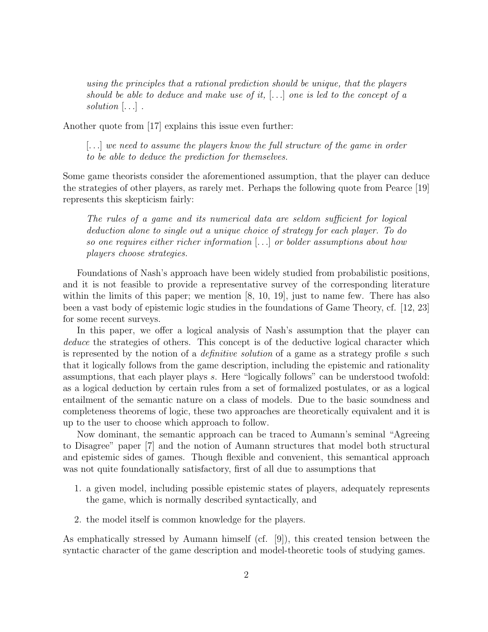using the principles that a rational prediction should be unique, that the players should be able to deduce and make use of it,  $\left[ \ldots \right]$  one is led to the concept of a solution  $[\ldots]$ .

Another quote from [17] explains this issue even further:

[. . .] we need to assume the players know the full structure of the game in order to be able to deduce the prediction for themselves.

Some game theorists consider the aforementioned assumption, that the player can deduce the strategies of other players, as rarely met. Perhaps the following quote from Pearce [19] represents this skepticism fairly:

The rules of a game and its numerical data are seldom sufficient for logical deduction alone to single out a unique choice of strategy for each player. To do so one requires either richer information [. . .] or bolder assumptions about how players choose strategies.

Foundations of Nash's approach have been widely studied from probabilistic positions, and it is not feasible to provide a representative survey of the corresponding literature within the limits of this paper; we mention [8, 10, 19], just to name few. There has also been a vast body of epistemic logic studies in the foundations of Game Theory, cf. [12, 23] for some recent surveys.

In this paper, we offer a logical analysis of Nash's assumption that the player can deduce the strategies of others. This concept is of the deductive logical character which is represented by the notion of a *definitive solution* of a game as a strategy profile s such that it logically follows from the game description, including the epistemic and rationality assumptions, that each player plays s. Here "logically follows" can be understood twofold: as a logical deduction by certain rules from a set of formalized postulates, or as a logical entailment of the semantic nature on a class of models. Due to the basic soundness and completeness theorems of logic, these two approaches are theoretically equivalent and it is up to the user to choose which approach to follow.

Now dominant, the semantic approach can be traced to Aumann's seminal "Agreeing to Disagree" paper [7] and the notion of Aumann structures that model both structural and epistemic sides of games. Though flexible and convenient, this semantical approach was not quite foundationally satisfactory, first of all due to assumptions that

- 1. a given model, including possible epistemic states of players, adequately represents the game, which is normally described syntactically, and
- 2. the model itself is common knowledge for the players.

As emphatically stressed by Aumann himself (cf. [9]), this created tension between the syntactic character of the game description and model-theoretic tools of studying games.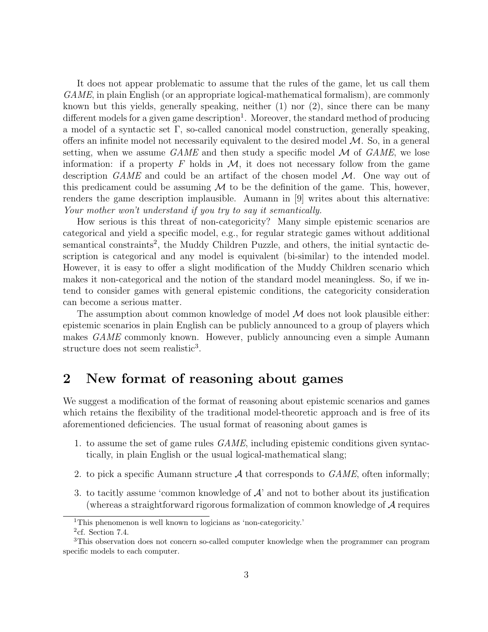It does not appear problematic to assume that the rules of the game, let us call them GAME, in plain English (or an appropriate logical-mathematical formalism), are commonly known but this yields, generally speaking, neither  $(1)$  nor  $(2)$ , since there can be many different models for a given game description<sup>1</sup>. Moreover, the standard method of producing a model of a syntactic set  $\Gamma$ , so-called canonical model construction, generally speaking, offers an infinite model not necessarily equivalent to the desired model  $M$ . So, in a general setting, when we assume  $GAME$  and then study a specific model  $M$  of  $GAME$ , we lose information: if a property F holds in  $\mathcal{M}$ , it does not necessary follow from the game description  $GAME$  and could be an artifact of the chosen model  $M$ . One way out of this predicament could be assuming  $\mathcal M$  to be the definition of the game. This, however, renders the game description implausible. Aumann in [9] writes about this alternative: Your mother won't understand if you try to say it semantically.

How serious is this threat of non-categoricity? Many simple epistemic scenarios are categorical and yield a specific model, e.g., for regular strategic games without additional semantical constraints<sup>2</sup>, the Muddy Children Puzzle, and others, the initial syntactic description is categorical and any model is equivalent (bi-similar) to the intended model. However, it is easy to offer a slight modification of the Muddy Children scenario which makes it non-categorical and the notion of the standard model meaningless. So, if we intend to consider games with general epistemic conditions, the categoricity consideration can become a serious matter.

The assumption about common knowledge of model  $\mathcal M$  does not look plausible either: epistemic scenarios in plain English can be publicly announced to a group of players which makes GAME commonly known. However, publicly announcing even a simple Aumann structure does not seem realistic<sup>3</sup>.

# 2 New format of reasoning about games

We suggest a modification of the format of reasoning about epistemic scenarios and games which retains the flexibility of the traditional model-theoretic approach and is free of its aforementioned deficiencies. The usual format of reasoning about games is

- 1. to assume the set of game rules *GAME*, including epistemic conditions given syntactically, in plain English or the usual logical-mathematical slang;
- 2. to pick a specific Aumann structure  $\mathcal A$  that corresponds to  $GAME$ , often informally;
- 3. to tacitly assume 'common knowledge of  $A'$  and not to bother about its justification (whereas a straightforward rigorous formalization of common knowledge of A requires

<sup>1</sup>This phenomenon is well known to logicians as 'non-categoricity.'

 $2$ cf. Section 7.4.

<sup>&</sup>lt;sup>3</sup>This observation does not concern so-called computer knowledge when the programmer can program specific models to each computer.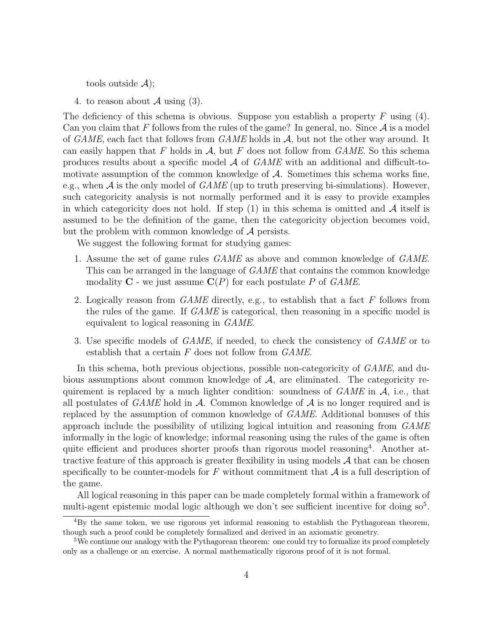tools outside  $A$ );

4. to reason about  $A$  using (3).

The deficiency of this schema is obvious. Suppose you establish a property F using  $(4)$ . Can you claim that F follows from the rules of the game? In general, no. Since  $\mathcal A$  is a model of  $GAME$ , each fact that follows from  $GAME$  holds in  $A$ , but not the other way around. It can easily happen that F holds in  $A$ , but F does not follow from *GAME*. So this schema produces results about a specific model  $A$  of  $GAME$  with an additional and difficult-tomotivate assumption of the common knowledge of  $A$ . Sometimes this schema works fine, e.g., when  $A$  is the only model of  $GAME$  (up to truth preserving bi-simulations). However, such categoricity analysis is not normally performed and it is easy to provide examples in which categoricity does not hold. If step  $(1)$  in this schema is omitted and A itself is assumed to be the definition of the game, then the categoricity objection becomes void, but the problem with common knowledge of A persists.

We suggest the following format for studying games:

- 1. Assume the set of game rules  $GAME$  as above and common knowledge of  $GAME$ . This can be arranged in the language of GAME that contains the common knowledge modality  $C$  - we just assume  $C(P)$  for each postulate P of GAME.
- 2. Logically reason from  $GAME$  directly, e.g., to establish that a fact F follows from the rules of the game. If GAME is categorical, then reasoning in a specific model is equivalent to logical reasoning in GAME.
- 3. Use specific models of GAME, if needed, to check the consistency of GAME or to establish that a certain  $F$  does not follow from  $GAME$ .

In this schema, both previous objections, possible non-categoricity of GAME, and dubious assumptions about common knowledge of  $A$ , are eliminated. The categoricity requirement is replaced by a much lighter condition: soundness of  $GAME$  in  $A$ , i.e., that all postulates of  $GAME$  hold in  $A$ . Common knowledge of  $A$  is no longer required and is replaced by the assumption of common knowledge of GAME. Additional bonuses of this approach include the possibility of utilizing logical intuition and reasoning from GAME informally in the logic of knowledge; informal reasoning using the rules of the game is often quite efficient and produces shorter proofs than rigorous model reasoning<sup>4</sup> . Another attractive feature of this approach is greater flexibility in using models  $A$  that can be chosen specifically to be counter-models for F without commitment that  $A$  is a full description of the game.

All logical reasoning in this paper can be made completely formal within a framework of multi-agent epistemic modal logic although we don't see sufficient incentive for doing so<sup>5</sup>.

<sup>4</sup>By the same token, we use rigorous yet informal reasoning to establish the Pythagorean theorem, though such a proof could be completely formalized and derived in an axiomatic geometry.

<sup>&</sup>lt;sup>5</sup>We continue our analogy with the Pythagorean theorem: one could try to formalize its proof completely only as a challenge or an exercise. A normal mathematically rigorous proof of it is not formal.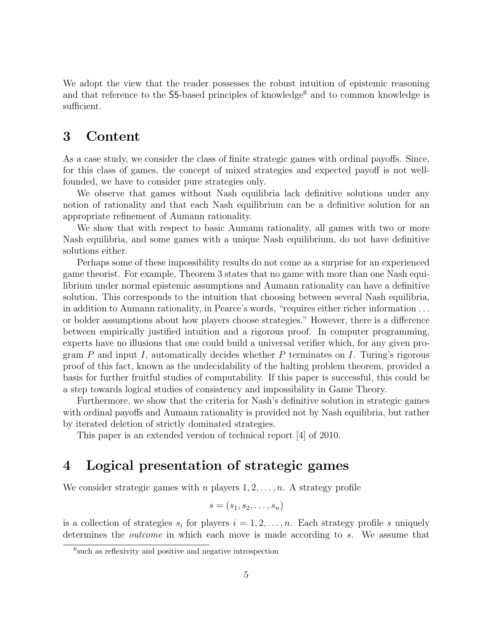We adopt the view that the reader possesses the robust intuition of epistemic reasoning and that reference to the  $S5$ -based principles of knowledge<sup>6</sup> and to common knowledge is sufficient.

### 3 Content

As a case study, we consider the class of finite strategic games with ordinal payoffs. Since, for this class of games, the concept of mixed strategies and expected payoff is not wellfounded, we have to consider pure strategies only.

We observe that games without Nash equilibria lack definitive solutions under any notion of rationality and that each Nash equilibrium can be a definitive solution for an appropriate refinement of Aumann rationality.

We show that with respect to basic Aumann rationality, all games with two or more Nash equilibria, and some games with a unique Nash equilibrium, do not have definitive solutions either.

Perhaps some of these impossibility results do not come as a surprise for an experienced game theorist. For example, Theorem 3 states that no game with more than one Nash equilibrium under normal epistemic assumptions and Aumann rationality can have a definitive solution. This corresponds to the intuition that choosing between several Nash equilibria, in addition to Aumann rationality, in Pearce's words, "requires either richer information . . . or bolder assumptions about how players choose strategies." However, there is a difference between empirically justified intuition and a rigorous proof. In computer programming, experts have no illusions that one could build a universal verifier which, for any given program  $P$  and input  $I$ , automatically decides whether  $P$  terminates on  $I$ . Turing's rigorous proof of this fact, known as the undecidability of the halting problem theorem, provided a basis for further fruitful studies of computability. If this paper is successful, this could be a step towards logical studies of consistency and impossibility in Game Theory.

Furthermore, we show that the criteria for Nash's definitive solution in strategic games with ordinal payoffs and Aumann rationality is provided not by Nash equilibria, but rather by iterated deletion of strictly dominated strategies.

This paper is an extended version of technical report [4] of 2010.

## 4 Logical presentation of strategic games

We consider strategic games with n players  $1, 2, \ldots, n$ . A strategy profile

$$
s=(s_1,s_2,\ldots,s_n)
$$

is a collection of strategies  $s_i$  for players  $i = 1, 2, \ldots, n$ . Each strategy profile s uniquely determines the *outcome* in which each move is made according to s. We assume that

<sup>6</sup> such as reflexivity and positive and negative introspection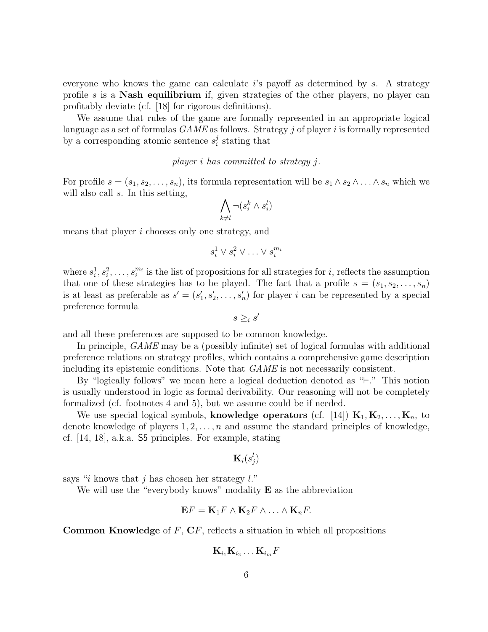everyone who knows the game can calculate i's payoff as determined by s. A strategy profile s is a **Nash equilibrium** if, given strategies of the other players, no player can profitably deviate (cf. [18] for rigorous definitions).

We assume that rules of the game are formally represented in an appropriate logical language as a set of formulas  $GAME$  as follows. Strategy j of player i is formally represented by a corresponding atomic sentence  $s_i^j$  $i$ <sub>i</sub> stating that

#### player i has committed to strategy j.

For profile  $s = (s_1, s_2, \ldots, s_n)$ , its formula representation will be  $s_1 \wedge s_2 \wedge \ldots \wedge s_n$  which we will also call s. In this setting,

$$
\bigwedge_{k\neq l}\neg(s_i^k\wedge s_i^l)
$$

means that player i chooses only one strategy, and

$$
s_i^1 \vee s_i^2 \vee \ldots \vee s_i^{m_i}
$$

where  $s_i^1, s_i^2, \ldots, s_i^{m_i}$  is the list of propositions for all strategies for i, reflects the assumption that one of these strategies has to be played. The fact that a profile  $s = (s_1, s_2, \ldots, s_n)$ is at least as preferable as  $s' = (s'_1, s'_2, \ldots, s'_n)$  for player i can be represented by a special preference formula

 $s \geq_i s'$ 

and all these preferences are supposed to be common knowledge.

In principle, GAME may be a (possibly infinite) set of logical formulas with additional preference relations on strategy profiles, which contains a comprehensive game description including its epistemic conditions. Note that GAME is not necessarily consistent.

By "logically follows" we mean here a logical deduction denoted as " $\vdash$ ." This notion is usually understood in logic as formal derivability. Our reasoning will not be completely formalized (cf. footnotes 4 and 5), but we assume could be if needed.

We use special logical symbols, knowledge operators (cf. [14])  $K_1, K_2, \ldots, K_n$ , to denote knowledge of players  $1, 2, \ldots, n$  and assume the standard principles of knowledge, cf. [14, 18], a.k.a. S5 principles. For example, stating

 ${\bf K}_i(s_j^l)$ 

says "i knows that j has chosen her strategy  $l$ ."

We will use the "everybody knows" modality **E** as the abbreviation

$$
\mathbf{E}F = \mathbf{K}_1F \wedge \mathbf{K}_2F \wedge \ldots \wedge \mathbf{K}_nF.
$$

**Common Knowledge** of  $F$ ,  $CF$ , reflects a situation in which all propositions

$$
\mathbf{K}_{i_1}\mathbf{K}_{i_2}\ldots \mathbf{K}_{i_m}F
$$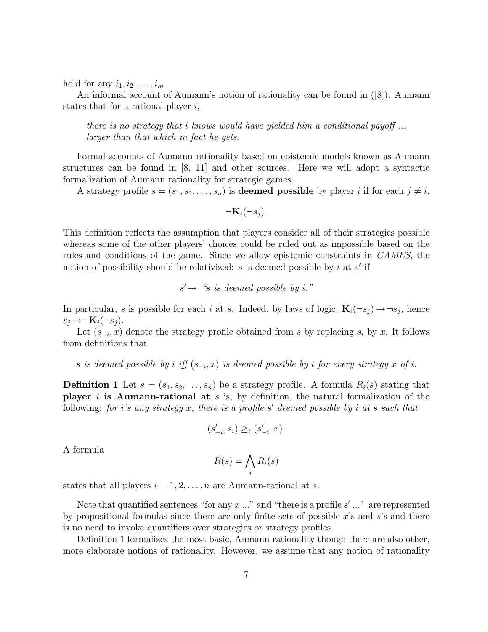hold for any  $i_1, i_2, \ldots, i_m$ .

An informal account of Aumann's notion of rationality can be found in ([8]). Aumann states that for a rational player  $i$ ,

there is no strategy that i knows would have yielded him a conditional payoff ... larger than that which in fact he gets.

Formal accounts of Aumann rationality based on epistemic models known as Aumann structures can be found in [8, 11] and other sources. Here we will adopt a syntactic formalization of Aumann rationality for strategic games.

A strategy profile  $s = (s_1, s_2, \ldots, s_n)$  is **deemed possible** by player i if for each  $j \neq i$ ,

$$
\neg \mathbf{K}_i(\neg s_j).
$$

This definition reflects the assumption that players consider all of their strategies possible whereas some of the other players' choices could be ruled out as impossible based on the rules and conditions of the game. Since we allow epistemic constraints in GAMES, the notion of possibility should be relativized:  $s$  is deemed possible by  $i$  at  $s'$  if

$$
s' \rightarrow "s is deemed possible by i."\\
$$

In particular, s is possible for each i at s. Indeed, by laws of logic,  $\mathbf{K}_i(\neg s_j) \rightarrow \neg s_j$ , hence  $s_j \rightarrow \neg \mathbf{K}_i(\neg s_j)$ .

Let  $(s_{-i}, x)$  denote the strategy profile obtained from s by replacing  $s_i$  by x. It follows from definitions that

s is deemed possible by i iff  $(s_{-i}, x)$  is deemed possible by i for every strategy x of i.

**Definition 1** Let  $s = (s_1, s_2, \ldots, s_n)$  be a strategy profile. A formula  $R_i(s)$  stating that player i is Aumann-rational at  $s$  is, by definition, the natural formalization of the following: for i's any strategy x, there is a profile s' deemed possible by i at s such that

$$
(s'_{-i}, s_i) \geq_i (s'_{-i}, x).
$$

A formula

$$
R(s) = \bigwedge_i R_i(s)
$$

states that all players  $i = 1, 2, \ldots, n$  are Aumann-rational at s.

Note that quantified sentences "for any  $x \dots$ " and "there is a profile  $s' \dots$ " are represented by propositional formulas since there are only finite sets of possible  $x$ 's and  $s$ 's and there is no need to invoke quantifiers over strategies or strategy profiles.

Definition 1 formalizes the most basic, Aumann rationality though there are also other, more elaborate notions of rationality. However, we assume that any notion of rationality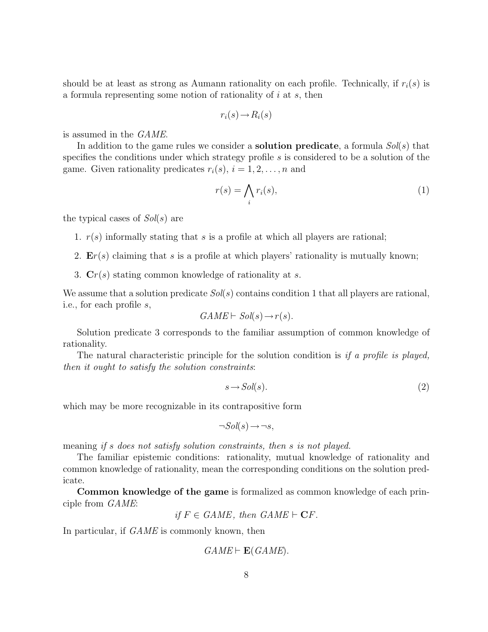should be at least as strong as Aumann rationality on each profile. Technically, if  $r_i(s)$  is a formula representing some notion of rationality of i at s, then

$$
r_i(s) \to R_i(s)
$$

is assumed in the GAME.

In addition to the game rules we consider a **solution predicate**, a formula  $Sol(s)$  that specifies the conditions under which strategy profile s is considered to be a solution of the game. Given rationality predicates  $r_i(s)$ ,  $i = 1, 2, \ldots, n$  and

$$
r(s) = \bigwedge_i r_i(s),\tag{1}
$$

the typical cases of  $Sol(s)$  are

1.  $r(s)$  informally stating that s is a profile at which all players are rational;

- 2.  $\mathbf{E}r(s)$  claiming that s is a profile at which players' rationality is mutually known;
- 3.  $Cr(s)$  stating common knowledge of rationality at s.

We assume that a solution predicate  $Sol(s)$  contains condition 1 that all players are rational, i.e., for each profile s,

$$
GAME \vdash Sol(s) \rightarrow r(s).
$$

Solution predicate 3 corresponds to the familiar assumption of common knowledge of rationality.

The natural characteristic principle for the solution condition is if a profile is played, then it ought to satisfy the solution constraints:

$$
s \to Sol(s). \tag{2}
$$

which may be more recognizable in its contrapositive form

$$
\neg Sol(s) \rightarrow \neg s,
$$

meaning if s does not satisfy solution constraints, then s is not played.

The familiar epistemic conditions: rationality, mutual knowledge of rationality and common knowledge of rationality, mean the corresponding conditions on the solution predicate.

Common knowledge of the game is formalized as common knowledge of each principle from GAME:

if  $F \in GAME$ , then  $GAME \vdash CF$ .

In particular, if  $GAME$  is commonly known, then

$$
GAME \vdash E(GAME).
$$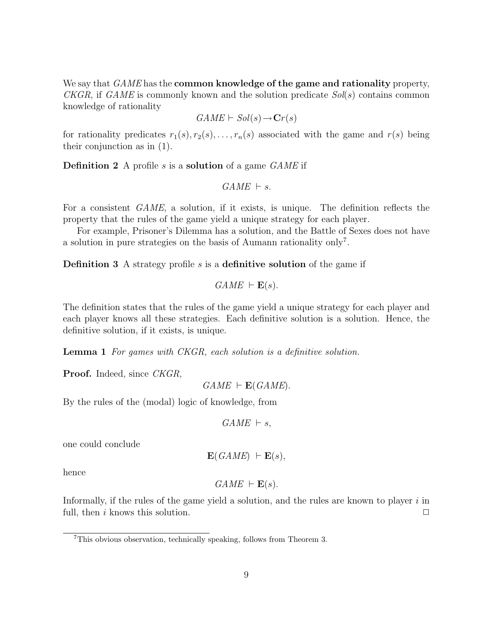We say that  $GAME$  has the **common knowledge of the game and rationality** property, CKGR, if GAME is commonly known and the solution predicate  $Sol(s)$  contains common knowledge of rationality

$$
GAME \vdash Sol(s) \rightarrow Cr(s)
$$

for rationality predicates  $r_1(s), r_2(s), \ldots, r_n(s)$  associated with the game and  $r(s)$  being their conjunction as in (1).

**Definition 2** A profile s is a **solution** of a game  $GAME$  if

$$
GAME \vdash s.
$$

For a consistent GAME, a solution, if it exists, is unique. The definition reflects the property that the rules of the game yield a unique strategy for each player.

For example, Prisoner's Dilemma has a solution, and the Battle of Sexes does not have a solution in pure strategies on the basis of Aumann rationality only<sup>7</sup> .

**Definition 3** A strategy profile s is a definitive solution of the game if

$$
GAME \vdash E(s).
$$

The definition states that the rules of the game yield a unique strategy for each player and each player knows all these strategies. Each definitive solution is a solution. Hence, the definitive solution, if it exists, is unique.

Lemma 1 For games with CKGR, each solution is a definitive solution.

Proof. Indeed, since *CKGR*,

 $GAME \vdash E(GAME).$ 

By the rules of the (modal) logic of knowledge, from

 $GAME \vdash s$ .

one could conclude

$$
\mathbf{E}(GAME) + \mathbf{E}(s),
$$

hence

 $GAME \vdash E(s)$ .

Informally, if the rules of the game yield a solution, and the rules are known to player  $i$  in full, then i knows this solution.  $\Box$ 

<sup>7</sup>This obvious observation, technically speaking, follows from Theorem 3.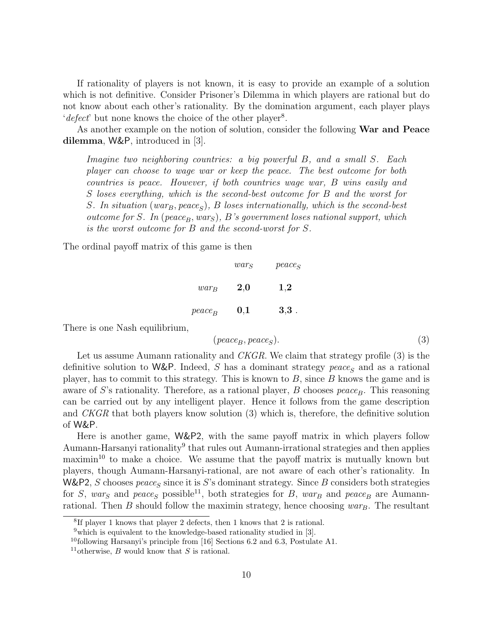If rationality of players is not known, it is easy to provide an example of a solution which is not definitive. Consider Prisoner's Dilemma in which players are rational but do not know about each other's rationality. By the domination argument, each player plays 'defect' but none knows the choice of the other player<sup>8</sup>.

As another example on the notion of solution, consider the following **War and Peace** dilemma, W&P, introduced in [3].

Imagine two neighboring countries: a big powerful B, and a small S. Each player can choose to wage war or keep the peace. The best outcome for both countries is peace. However, if both countries wage war, B wins easily and S loses everything, which is the second-best outcome for B and the worst for S. In situation (war<sub>B</sub>, peace<sub>S</sub>), B loses internationally, which is the second-best outcome for S. In (peace<sub>B</sub>, wars), B's government loses national support, which is the worst outcome for B and the second-worst for S.

The ordinal payoff matrix of this game is then

|           | $\mathit{war}_S$ | $peace_S$ |
|-----------|------------------|-----------|
| $war_{B}$ | $2{,}0$          | 1,2       |
| $peace_B$ | 0,1              | $3,3$ .   |

There is one Nash equilibrium,

$$
(peace_B, peace_S). \t\t(3)
$$

Let us assume Aumann rationality and *CKGR*. We claim that strategy profile (3) is the definitive solution to W&P. Indeed, S has a dominant strategy peace<sub>S</sub> and as a rational player, has to commit to this strategy. This is known to  $B$ , since  $B$  knows the game and is aware of S's rationality. Therefore, as a rational player, B chooses  $peace_B$ . This reasoning can be carried out by any intelligent player. Hence it follows from the game description and  $CKGR$  that both players know solution  $(3)$  which is, therefore, the definitive solution of W&P.

Here is another game, W&P2, with the same payoff matrix in which players follow Aumann-Harsanyi rationality<sup>9</sup> that rules out Aumann-irrational strategies and then applies  $maximin<sup>10</sup>$  to make a choice. We assume that the payoff matrix is mutually known but players, though Aumann-Harsanyi-rational, are not aware of each other's rationality. In W&P2, S chooses  $peace_S$  since it is S's dominant strategy. Since B considers both strategies for S, wars and peace<sub>S</sub> possible<sup>11</sup>, both strategies for B, war<sub>B</sub> and peace<sub>B</sub> are Aumannrational. Then B should follow the maximin strategy, hence choosing  $war_B$ . The resultant

<sup>8</sup> If player 1 knows that player 2 defects, then 1 knows that 2 is rational.

<sup>&</sup>lt;sup>9</sup>which is equivalent to the knowledge-based rationality studied in [3].

<sup>10</sup>following Harsanyi's principle from [16] Sections 6.2 and 6.3, Postulate A1.

<sup>&</sup>lt;sup>11</sup>otherwise, *B* would know that *S* is rational.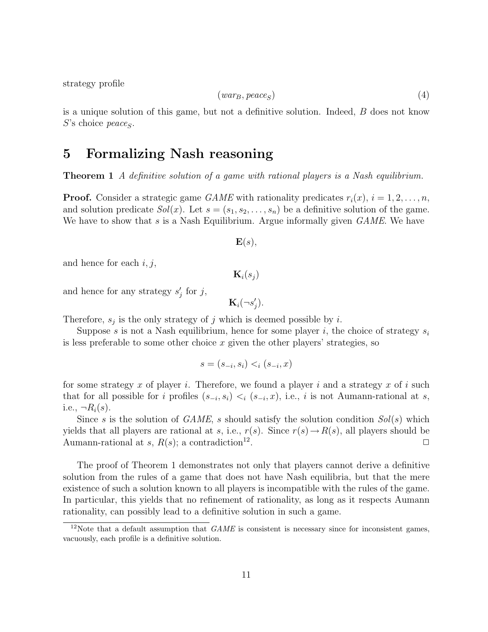strategy profile

$$
(war_B, peace_S) \tag{4}
$$

is a unique solution of this game, but not a definitive solution. Indeed, B does not know  $S$ 's choice  $peace_S$ .

### 5 Formalizing Nash reasoning

**Theorem 1** A definitive solution of a game with rational players is a Nash equilibrium.

**Proof.** Consider a strategic game GAME with rationality predicates  $r_i(x)$ ,  $i = 1, 2, \ldots, n$ , and solution predicate  $Sol(x)$ . Let  $s = (s_1, s_2, \ldots, s_n)$  be a definitive solution of the game. We have to show that s is a Nash Equilibrium. Argue informally given  $GAME$ . We have

```
E(s),
```
and hence for each  $i, j$ ,

 $\mathbf{K}_i(s_j)$ 

and hence for any strategy  $s'_{j}$  for j,

$$
\mathbf{K}_i(\neg s'_j).
$$

Therefore,  $s_j$  is the only strategy of j which is deemed possible by i.

Suppose s is not a Nash equilibrium, hence for some player i, the choice of strategy  $s_i$ is less preferable to some other choice  $x$  given the other players' strategies, so

$$
s = (s_{-i}, s_i) <_i (s_{-i}, x)
$$

for some strategy x of player i. Therefore, we found a player i and a strategy x of i such that for all possible for i profiles  $(s_{-i}, s_i) < i$ ,  $(s_{-i}, x)$ , i.e., i is not Aumann-rational at s, i.e.,  $\neg R_i(s)$ .

Since s is the solution of  $GAME$ , s should satisfy the solution condition  $Sol(s)$  which yields that all players are rational at s, i.e.,  $r(s)$ . Since  $r(s) \to R(s)$ , all players should be Aumann-rational at s,  $R(s)$ ; a contradiction<sup>12</sup>. .  $\Box$ 

The proof of Theorem 1 demonstrates not only that players cannot derive a definitive solution from the rules of a game that does not have Nash equilibria, but that the mere existence of such a solution known to all players is incompatible with the rules of the game. In particular, this yields that no refinement of rationality, as long as it respects Aumann rationality, can possibly lead to a definitive solution in such a game.

<sup>&</sup>lt;sup>12</sup>Note that a default assumption that  $GAME$  is consistent is necessary since for inconsistent games, vacuously, each profile is a definitive solution.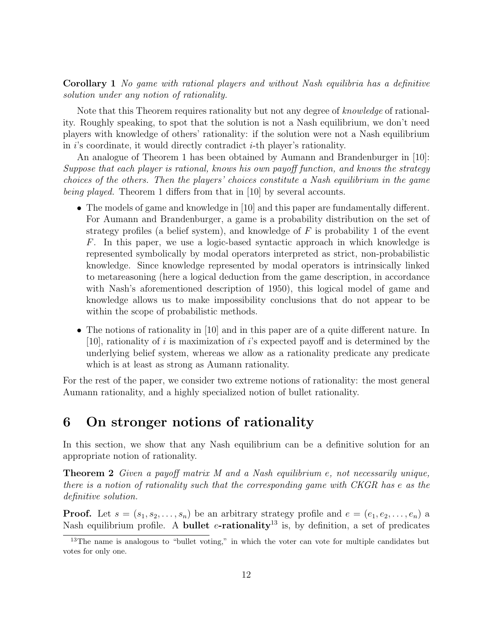Corollary 1 No game with rational players and without Nash equilibria has a definitive solution under any notion of rationality.

Note that this Theorem requires rationality but not any degree of knowledge of rationality. Roughly speaking, to spot that the solution is not a Nash equilibrium, we don't need players with knowledge of others' rationality: if the solution were not a Nash equilibrium in  $i$ 's coordinate, it would directly contradict  $i$ -th player's rationality.

An analogue of Theorem 1 has been obtained by Aumann and Brandenburger in [10]: Suppose that each player is rational, knows his own payoff function, and knows the strategy choices of the others. Then the players' choices constitute a Nash equilibrium in the game being played. Theorem 1 differs from that in [10] by several accounts.

- The models of game and knowledge in [10] and this paper are fundamentally different. For Aumann and Brandenburger, a game is a probability distribution on the set of strategy profiles (a belief system), and knowledge of  $F$  is probability 1 of the event F. In this paper, we use a logic-based syntactic approach in which knowledge is represented symbolically by modal operators interpreted as strict, non-probabilistic knowledge. Since knowledge represented by modal operators is intrinsically linked to metareasoning (here a logical deduction from the game description, in accordance with Nash's aforementioned description of 1950), this logical model of game and knowledge allows us to make impossibility conclusions that do not appear to be within the scope of probabilistic methods.
- The notions of rationality in [10] and in this paper are of a quite different nature. In [10], rationality of  $i$  is maximization of  $i$ 's expected payoff and is determined by the underlying belief system, whereas we allow as a rationality predicate any predicate which is at least as strong as Aumann rationality.

For the rest of the paper, we consider two extreme notions of rationality: the most general Aumann rationality, and a highly specialized notion of bullet rationality.

### 6 On stronger notions of rationality

In this section, we show that any Nash equilibrium can be a definitive solution for an appropriate notion of rationality.

Theorem 2 Given a payoff matrix M and a Nash equilibrium e, not necessarily unique, there is a notion of rationality such that the corresponding game with CKGR has e as the definitive solution.

**Proof.** Let  $s = (s_1, s_2, \ldots, s_n)$  be an arbitrary strategy profile and  $e = (e_1, e_2, \ldots, e_n)$  a Nash equilibrium profile. A **bullet e-rationality**<sup>13</sup> is, by definition, a set of predicates

<sup>&</sup>lt;sup>13</sup>The name is analogous to "bullet voting," in which the voter can vote for multiple candidates but votes for only one.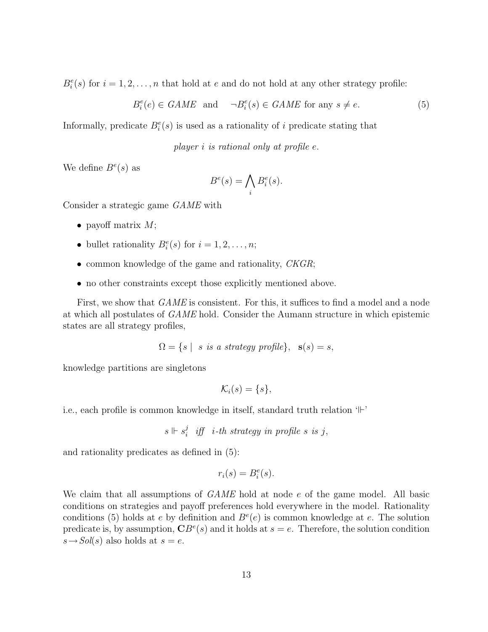$B_i^e(s)$  for  $i = 1, 2, ..., n$  that hold at e and do not hold at any other strategy profile:

$$
B_i^e(e) \in GAME \text{ and } \neg B_i^e(s) \in GAME \text{ for any } s \neq e. \tag{5}
$$

Informally, predicate  $B_i^e(s)$  is used as a rationality of i predicate stating that

player i is rational only at profile e.

We define  $B^e(s)$  as

$$
B^e(s) = \bigwedge_i B^e_i(s).
$$

Consider a strategic game GAME with

- payoff matrix  $M$ ;
- bullet rationality  $B_i^e(s)$  for  $i = 1, 2, ..., n;$
- common knowledge of the game and rationality, *CKGR*;
- no other constraints except those explicitly mentioned above.

First, we show that  $GAME$  is consistent. For this, it suffices to find a model and a node at which all postulates of GAME hold. Consider the Aumann structure in which epistemic states are all strategy profiles,

$$
\Omega = \{ s \mid s \text{ is a strategy profile} \}, \mathbf{s}(s) = s,
$$

knowledge partitions are singletons

$$
\mathcal{K}_i(s) = \{s\},\
$$

i.e., each profile is common knowledge in itself, standard truth relation ' '

$$
s \Vdash s_i^j \quad \textit{iff} \quad i\text{-}th \; strategy \; in \; profile \; s \; \; is \; j,
$$

and rationality predicates as defined in (5):

$$
r_i(s) = B_i^e(s).
$$

We claim that all assumptions of *GAME* hold at node e of the game model. All basic conditions on strategies and payoff preferences hold everywhere in the model. Rationality conditions (5) holds at e by definition and  $B^e(e)$  is common knowledge at e. The solution predicate is, by assumption,  $\mathbf{C}B^e(s)$  and it holds at  $s = e$ . Therefore, the solution condition  $s \rightarrow Sol(s)$  also holds at  $s = e$ .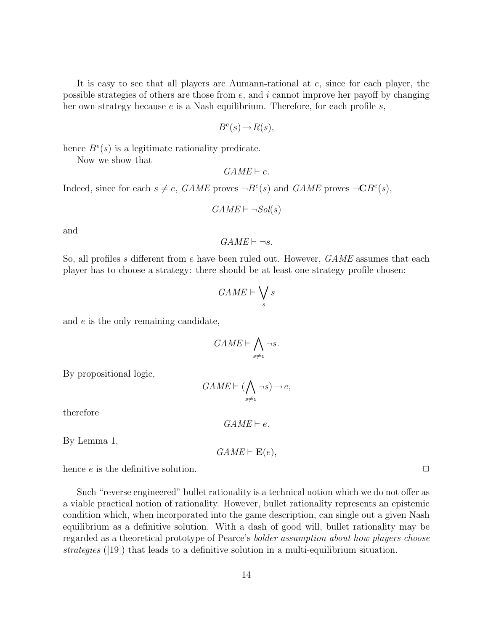It is easy to see that all players are Aumann-rational at e, since for each player, the possible strategies of others are those from  $e$ , and  $i$  cannot improve her payoff by changing her own strategy because  $e$  is a Nash equilibrium. Therefore, for each profile  $s$ ,

$$
B^e(s) \to R(s),
$$

hence  $B^e(s)$  is a legitimate rationality predicate.

Now we show that

$$
GAME \vdash e.
$$

Indeed, since for each  $s \neq e$ , GAME proves  $\neg B^e(s)$  and GAME proves  $\neg CB^e(s)$ ,

$$
GAME \vdash \neg Sol(s)
$$

and

$$
GAME \vdash \neg s.
$$

So, all profiles s different from e have been ruled out. However, GAME assumes that each player has to choose a strategy: there should be at least one strategy profile chosen:

$$
GAME \vdash \bigvee_s s
$$

and e is the only remaining candidate,

$$
GAME \vdash \bigwedge_{s \neq e} \neg s.
$$

By propositional logic,

$$
GAME \vdash (\bigwedge_{s \neq e} \neg s) \rightarrow e,
$$

therefore

 $GAME \vdash e.$ 

By Lemma 1,

$$
GAME \vdash \mathbf{E}(e),
$$

hence  $e$  is the definitive solution.  $\Box$ 

Such "reverse engineered" bullet rationality is a technical notion which we do not offer as a viable practical notion of rationality. However, bullet rationality represents an epistemic condition which, when incorporated into the game description, can single out a given Nash equilibrium as a definitive solution. With a dash of good will, bullet rationality may be regarded as a theoretical prototype of Pearce's bolder assumption about how players choose strategies ([19]) that leads to a definitive solution in a multi-equilibrium situation.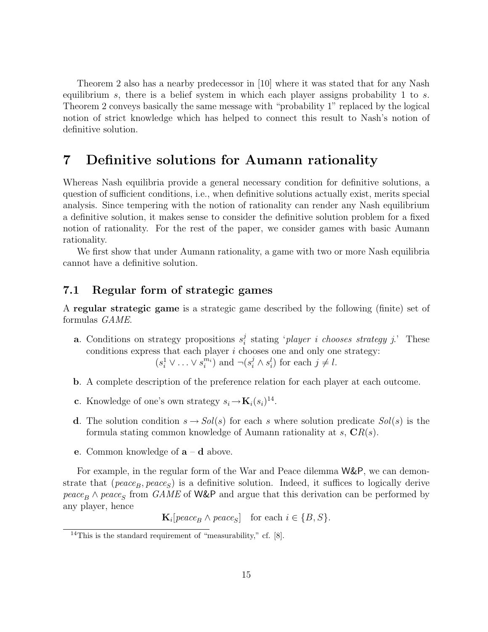Theorem 2 also has a nearby predecessor in [10] where it was stated that for any Nash equilibrium s, there is a belief system in which each player assigns probability 1 to s. Theorem 2 conveys basically the same message with "probability 1" replaced by the logical notion of strict knowledge which has helped to connect this result to Nash's notion of definitive solution.

### 7 Definitive solutions for Aumann rationality

Whereas Nash equilibria provide a general necessary condition for definitive solutions, a question of sufficient conditions, i.e., when definitive solutions actually exist, merits special analysis. Since tempering with the notion of rationality can render any Nash equilibrium a definitive solution, it makes sense to consider the definitive solution problem for a fixed notion of rationality. For the rest of the paper, we consider games with basic Aumann rationality.

We first show that under Aumann rationality, a game with two or more Nash equilibria cannot have a definitive solution.

### 7.1 Regular form of strategic games

A regular strategic game is a strategic game described by the following (finite) set of formulas GAME.

- **a**. Conditions on strategy propositions  $s_i^j$  $s_i^j$  stating '*player i chooses strategy j*.' These conditions express that each player  $i$  chooses one and only one strategy:  $(s_i^1 \vee \ldots \vee s_i^{m_i})$  and  $\neg(s_i^j \wedge s_i^l)$  for each  $j \neq l$ .
- b. A complete description of the preference relation for each player at each outcome.
- **c**. Knowledge of one's own strategy  $s_i \rightarrow \mathbf{K}_i(s_i)^{14}$ .
- d. The solution condition  $s \to Sol(s)$  for each s where solution predicate  $Sol(s)$  is the formula stating common knowledge of Aumann rationality at  $s$ ,  $CR(s)$ .
- **e**. Common knowledge of  $\mathbf{a} \mathbf{d}$  above.

For example, in the regular form of the War and Peace dilemma W&P, we can demonstrate that  $(\textit{peace}_B, \textit{peace}_S)$  is a definitive solution. Indeed, it suffices to logically derive  $peace_B \wedge peace_S$  from  $GAME$  of W&P and argue that this derivation can be performed by any player, hence

 $\mathbf{K}_i[peace_B \wedge peace_S]$  for each  $i \in \{B, S\}.$ 

<sup>&</sup>lt;sup>14</sup>This is the standard requirement of "measurability," cf.  $[8]$ .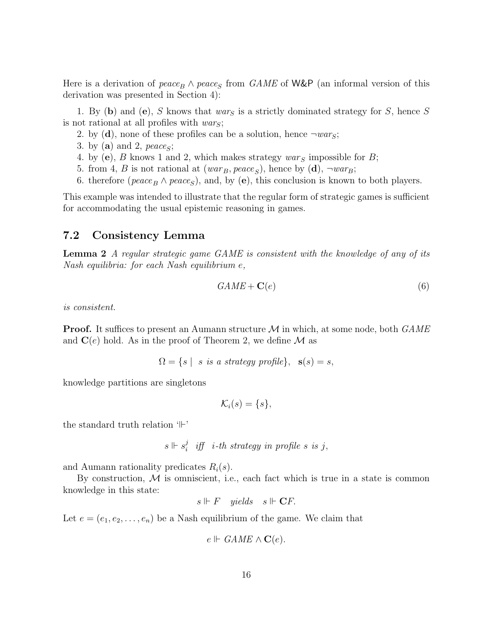Here is a derivation of  $peace_B \wedge peace_S$  from  $GAME$  of W&P (an informal version of this derivation was presented in Section 4):

1. By (b) and (e), S knows that  $warg$  is a strictly dominated strategy for S, hence S is not rational at all profiles with  $wars$ ;

2. by (d), none of these profiles can be a solution, hence  $\neg$ *wars*;

- 3. by (a) and 2,  $peace_S$ ;
- 4. by (e), B knows 1 and 2, which makes strategy  $\text{war}_S$  impossible for B;
- 5. from 4, B is not rational at  $(war_B, peace_S)$ , hence by  $(d)$ ,  $\neg war_B$ ;
- 6. therefore ( $peace_B \wedge peace_S$ ), and, by (e), this conclusion is known to both players.

This example was intended to illustrate that the regular form of strategic games is sufficient for accommodating the usual epistemic reasoning in games.

#### 7.2 Consistency Lemma

Lemma 2 A regular strategic game GAME is consistent with the knowledge of any of its Nash equilibria: for each Nash equilibrium e,

$$
GAME + \mathbf{C}(e) \tag{6}
$$

is consistent.

**Proof.** It suffices to present an Aumann structure  $\mathcal M$  in which, at some node, both  $GAME$ and  $\mathbf{C}(e)$  hold. As in the proof of Theorem 2, we define M as

$$
\Omega = \{ s \mid s \text{ is a strategy profile} \}, \mathbf{s}(s) = s,
$$

knowledge partitions are singletons

$$
\mathcal{K}_i(s) = \{s\},\
$$

the standard truth relation ' '

$$
s \Vdash s_i^j \quad \textit{iff} \quad i\text{-}th \; strategy \; in \; profile \; s \; \; is \; j,
$$

and Aumann rationality predicates  $R_i(s)$ .

By construction,  $M$  is omniscient, i.e., each fact which is true in a state is common knowledge in this state:

$$
s \Vdash F \quad yields \quad s \Vdash \mathbf{C}F.
$$

Let  $e = (e_1, e_2, \ldots, e_n)$  be a Nash equilibrium of the game. We claim that

$$
e \Vdash \mathit{GAME} \wedge \mathbf{C}(e).
$$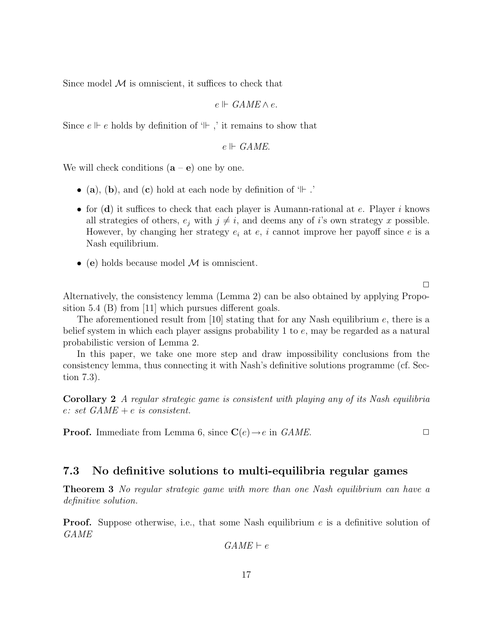Since model  $M$  is omniscient, it suffices to check that

$$
e \Vdash \mathit{GAME} \wedge e.
$$

Since  $e \Vdash e$  holds by definition of  $\Vdash$ , it remains to show that

$$
e \Vdash \mathit{GAME}.
$$

We will check conditions  $(a - e)$  one by one.

- (a), (b), and (c) hold at each node by definition of  $\mathcal{F}$ .
- for  $(d)$  it suffices to check that each player is Aumann-rational at e. Player i knows all strategies of others,  $e_j$  with  $j \neq i$ , and deems any of i's own strategy x possible. However, by changing her strategy  $e_i$  at  $e_i$ , i cannot improve her payoff since  $e$  is a Nash equilibrium.
- (e) holds because model  $M$  is omniscient.

 $\Box$ 

Alternatively, the consistency lemma (Lemma 2) can be also obtained by applying Proposition 5.4 (B) from [11] which pursues different goals.

The aforementioned result from [10] stating that for any Nash equilibrium  $e$ , there is a belief system in which each player assigns probability 1 to e, may be regarded as a natural probabilistic version of Lemma 2.

In this paper, we take one more step and draw impossibility conclusions from the consistency lemma, thus connecting it with Nash's definitive solutions programme (cf. Section 7.3).

Corollary 2 A regular strategic game is consistent with playing any of its Nash equilibria  $e: set \text{ } GAME + e \text{ } is \text{ } consistent.$ 

**Proof.** Immediate from Lemma 6, since  $\mathbf{C}(e) \rightarrow e$  in  $GAME$ .

### 7.3 No definitive solutions to multi-equilibria regular games

**Theorem 3** No regular strategic game with more than one Nash equilibrium can have a definitive solution.

**Proof.** Suppose otherwise, i.e., that some Nash equilibrium e is a definitive solution of GAME

 $GAME \vdash e$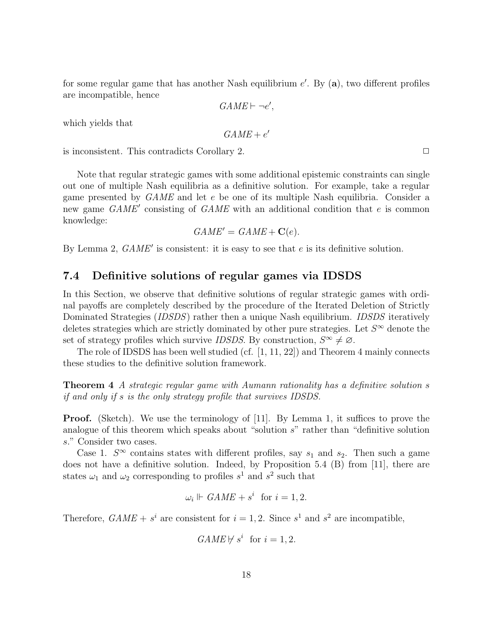for some regular game that has another Nash equilibrium  $e'$ . By  $(a)$ , two different profiles are incompatible, hence

$$
GAME \vdash \neg e',
$$

which yields that

 $GAME + e'$ 

is inconsistent. This contradicts Corollary 2.  $\Box$ 

Note that regular strategic games with some additional epistemic constraints can single out one of multiple Nash equilibria as a definitive solution. For example, take a regular game presented by  $GAME$  and let e be one of its multiple Nash equilibria. Consider a new game  $GAME'$  consisting of  $GAME$  with an additional condition that e is common knowledge:

$$
GAME' = GAME + C(e).
$$

By Lemma 2,  $GAME'$  is consistent: it is easy to see that  $e$  is its definitive solution.

### 7.4 Definitive solutions of regular games via IDSDS

In this Section, we observe that definitive solutions of regular strategic games with ordinal payoffs are completely described by the procedure of the Iterated Deletion of Strictly Dominated Strategies *(IDSDS)* rather then a unique Nash equilibrium. *IDSDS* iteratively deletes strategies which are strictly dominated by other pure strategies. Let  $S^{\infty}$  denote the set of strategy profiles which survive *IDSDS*. By construction,  $S^{\infty} \neq \emptyset$ .

The role of IDSDS has been well studied (cf. [1, 11, 22]) and Theorem 4 mainly connects these studies to the definitive solution framework.

**Theorem 4** A strategic regular game with Aumann rationality has a definitive solution s if and only if s is the only strategy profile that survives IDSDS.

**Proof.** (Sketch). We use the terminology of [11]. By Lemma 1, it suffices to prove the analogue of this theorem which speaks about "solution s" rather than "definitive solution s." Consider two cases.

Case 1.  $S^{\infty}$  contains states with different profiles, say  $s_1$  and  $s_2$ . Then such a game does not have a definitive solution. Indeed, by Proposition 5.4 (B) from [11], there are states  $\omega_1$  and  $\omega_2$  corresponding to profiles  $s^1$  and  $s^2$  such that

$$
\omega_i \Vdash \text{GAME} + s^i \text{ for } i = 1, 2.
$$

Therefore,  $GAME + s^i$  are consistent for  $i = 1, 2$ . Since  $s^1$  and  $s^2$  are incompatible,

$$
GAME \nvdash s^i \text{ for } i = 1, 2.
$$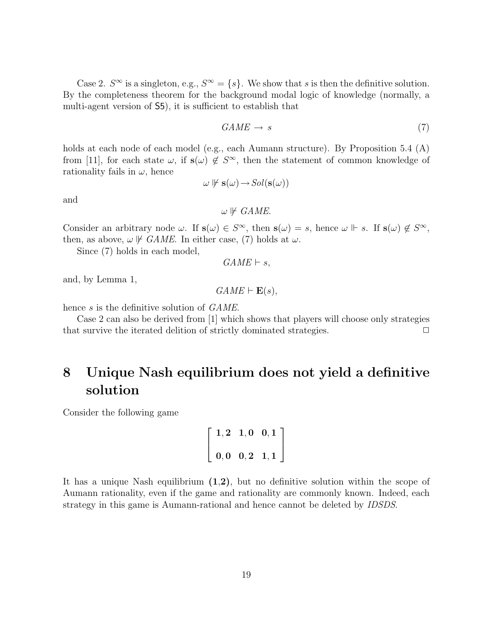Case 2.  $S^{\infty}$  is a singleton, e.g.,  $S^{\infty} = \{s\}$ . We show that s is then the definitive solution. By the completeness theorem for the background modal logic of knowledge (normally, a multi-agent version of S5), it is sufficient to establish that

$$
GAME \rightarrow s \tag{7}
$$

holds at each node of each model (e.g., each Aumann structure). By Proposition 5.4 (A) from [11], for each state  $\omega$ , if  $\mathbf{s}(\omega) \notin S^{\infty}$ , then the statement of common knowledge of rationality fails in  $\omega$ , hence

$$
\omega \not\Vdash s(\omega) \rightarrow Sol(s(\omega))
$$

and

$$
\omega \not\Vdash \mathit{GAME}.
$$

Consider an arbitrary node  $\omega$ . If  $\mathbf{s}(\omega) \in S^{\infty}$ , then  $\mathbf{s}(\omega) = s$ , hence  $\omega \Vdash s$ . If  $\mathbf{s}(\omega) \notin S^{\infty}$ , then, as above,  $\omega \not\vdash GAME$ . In either case, (7) holds at  $\omega$ .

Since (7) holds in each model,

 $GAME \vdash s,$ 

and, by Lemma 1,

 $GAME \vdash E(s),$ 

hence s is the definitive solution of *GAME*.

Case 2 can also be derived from [1] which shows that players will choose only strategies that survive the iterated delition of strictly dominated strategies.

# 8 Unique Nash equilibrium does not yield a definitive solution

Consider the following game

$$
\left[\begin{array}{ccc}1,2&1,0&0,1\\0,0&0,2&1,1\end{array}\right]
$$

It has a unique Nash equilibrium  $(1,2)$ , but no definitive solution within the scope of Aumann rationality, even if the game and rationality are commonly known. Indeed, each strategy in this game is Aumann-rational and hence cannot be deleted by IDSDS.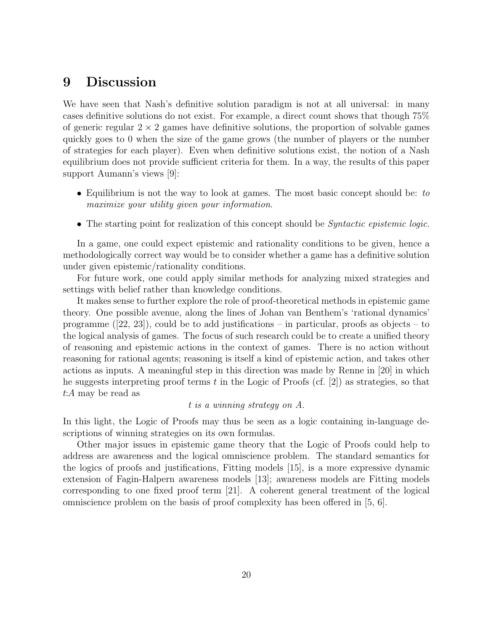## 9 Discussion

We have seen that Nash's definitive solution paradigm is not at all universal: in many cases definitive solutions do not exist. For example, a direct count shows that though 75% of generic regular  $2 \times 2$  games have definitive solutions, the proportion of solvable games quickly goes to 0 when the size of the game grows (the number of players or the number of strategies for each player). Even when definitive solutions exist, the notion of a Nash equilibrium does not provide sufficient criteria for them. In a way, the results of this paper support Aumann's views [9]:

- Equilibrium is not the way to look at games. The most basic concept should be: to maximize your utility given your information.
- The starting point for realization of this concept should be *Syntactic epistemic logic*.

In a game, one could expect epistemic and rationality conditions to be given, hence a methodologically correct way would be to consider whether a game has a definitive solution under given epistemic/rationality conditions.

For future work, one could apply similar methods for analyzing mixed strategies and settings with belief rather than knowledge conditions.

It makes sense to further explore the role of proof-theoretical methods in epistemic game theory. One possible avenue, along the lines of Johan van Benthem's 'rational dynamics' programme  $([22, 23])$ , could be to add justifications – in particular, proofs as objects – to the logical analysis of games. The focus of such research could be to create a unified theory of reasoning and epistemic actions in the context of games. There is no action without reasoning for rational agents; reasoning is itself a kind of epistemic action, and takes other actions as inputs. A meaningful step in this direction was made by Renne in [20] in which he suggests interpreting proof terms t in the Logic of Proofs (cf.  $[2]$ ) as strategies, so that t:A may be read as

#### t is a winning strategy on A.

In this light, the Logic of Proofs may thus be seen as a logic containing in-language descriptions of winning strategies on its own formulas.

Other major issues in epistemic game theory that the Logic of Proofs could help to address are awareness and the logical omniscience problem. The standard semantics for the logics of proofs and justifications, Fitting models [15], is a more expressive dynamic extension of Fagin-Halpern awareness models [13]; awareness models are Fitting models corresponding to one fixed proof term [21]. A coherent general treatment of the logical omniscience problem on the basis of proof complexity has been offered in [5, 6].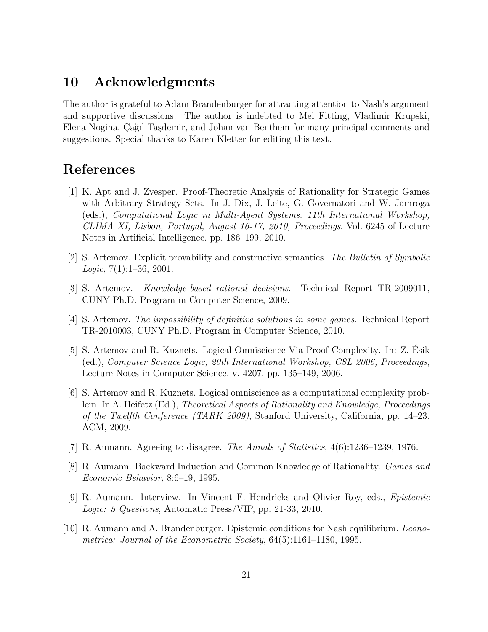## 10 Acknowledgments

The author is grateful to Adam Brandenburger for attracting attention to Nash's argument and supportive discussions. The author is indebted to Mel Fitting, Vladimir Krupski, Elena Nogina, Çağıl Taşdemir, and Johan van Benthem for many principal comments and suggestions. Special thanks to Karen Kletter for editing this text.

# References

- [1] K. Apt and J. Zvesper. Proof-Theoretic Analysis of Rationality for Strategic Games with Arbitrary Strategy Sets. In J. Dix, J. Leite, G. Governatori and W. Jamroga (eds.), Computational Logic in Multi-Agent Systems. 11th International Workshop, CLIMA XI, Lisbon, Portugal, August 16-17, 2010, Proceedings. Vol. 6245 of Lecture Notes in Artificial Intelligence. pp. 186–199, 2010.
- [2] S. Artemov. Explicit provability and constructive semantics. The Bulletin of Symbolic Logic,  $7(1):1-36$ ,  $2001$ .
- [3] S. Artemov. Knowledge-based rational decisions. Technical Report TR-2009011, CUNY Ph.D. Program in Computer Science, 2009.
- [4] S. Artemov. The impossibility of definitive solutions in some games. Technical Report TR-2010003, CUNY Ph.D. Program in Computer Science, 2010.
- [5] S. Artemov and R. Kuznets. Logical Omniscience Via Proof Complexity. In: Z. Esik ´ (ed.), Computer Science Logic, 20th International Workshop, CSL 2006, Proceedings, Lecture Notes in Computer Science, v. 4207, pp. 135–149, 2006.
- [6] S. Artemov and R. Kuznets. Logical omniscience as a computational complexity problem. In A. Heifetz (Ed.), Theoretical Aspects of Rationality and Knowledge, Proceedings of the Twelfth Conference (TARK 2009), Stanford University, California, pp. 14–23. ACM, 2009.
- [7] R. Aumann. Agreeing to disagree. The Annals of Statistics, 4(6):1236–1239, 1976.
- [8] R. Aumann. Backward Induction and Common Knowledge of Rationality. Games and Economic Behavior, 8:6–19, 1995.
- [9] R. Aumann. Interview. In Vincent F. Hendricks and Olivier Roy, eds., Epistemic Logic: 5 Questions, Automatic Press/VIP, pp. 21-33, 2010.
- [10] R. Aumann and A. Brandenburger. Epistemic conditions for Nash equilibrium. Econometrica: Journal of the Econometric Society, 64(5):1161–1180, 1995.